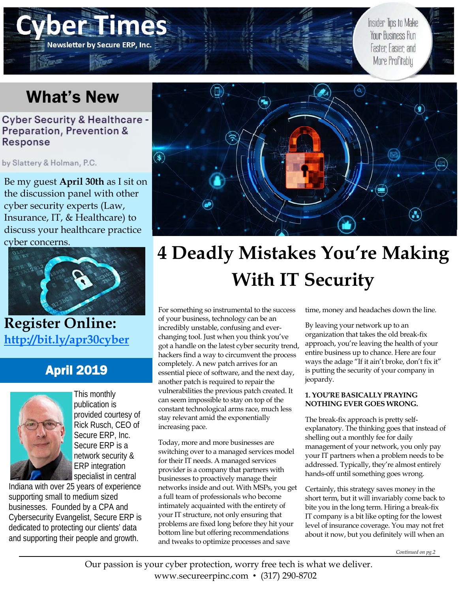# **Newsletter by Secure ERP, Inc.**

Insider Tips to Make Your Business Run Faster, Easier, and More Profitably

### What's New

### **Cyber Security & Healthcare -**Preparation, Prevention & Response

by Slattery & Holman, P.C.

Be my guest **April 30th** as I sit on the discussion panel with other cyber security experts (Law, Insurance, IT, & Healthcare) to discuss your healthcare practice cyber concerns.



**Register Online: http://bit.ly/apr30cyber**

### April 2019



This monthly publication is provided courtesy of Rick Rusch, CEO of Secure ERP, Inc. Secure ERP is a network security & ERP integration specialist in central

Indiana with over 25 years of experience supporting small to medium sized businesses. Founded by a CPA and Cybersecurity Evangelist, Secure ERP is dedicated to protecting our clients' data and supporting their people and growth.



### **4 Deadly Mistakes You're Making With IT Security**

For something so instrumental to the success of your business, technology can be an incredibly unstable, confusing and everchanging tool. Just when you think you've got a handle on the latest cyber security trend, hackers find a way to circumvent the process completely. A new patch arrives for an essential piece of software, and the next day, another patch is required to repair the vulnerabilities the previous patch created. It can seem impossible to stay on top of the constant technological arms race, much less stay relevant amid the exponentially increasing pace.

Today, more and more businesses are switching over to a managed services model for their IT needs. A managed services provider is a company that partners with businesses to proactively manage their networks inside and out. With MSPs, you get a full team of professionals who become intimately acquainted with the entirety of your IT structure, not only ensuring that problems are fixed long before they hit your bottom line but offering recommendations and tweaks to optimize processes and save

time, money and headaches down the line.

By leaving your network up to an organization that takes the old break-fix approach, you're leaving the health of your entire business up to chance. Here are four ways the adage "If it ain't broke, don't fix it" is putting the security of your company in jeopardy.

#### **1. YOU'RE BASICALLY PRAYING NOTHING EVER GOES WRONG.**

The break-fix approach is pretty selfexplanatory. The thinking goes that instead of shelling out a monthly fee for daily management of your network, you only pay your IT partners when a problem needs to be addressed. Typically, they're almost entirely hands-off until something goes wrong.

Certainly, this strategy saves money in the short term, but it will invariably come back to bite you in the long term. Hiring a break-fix IT company is a bit like opting for the lowest level of insurance coverage. You may not fret about it now, but you definitely will when an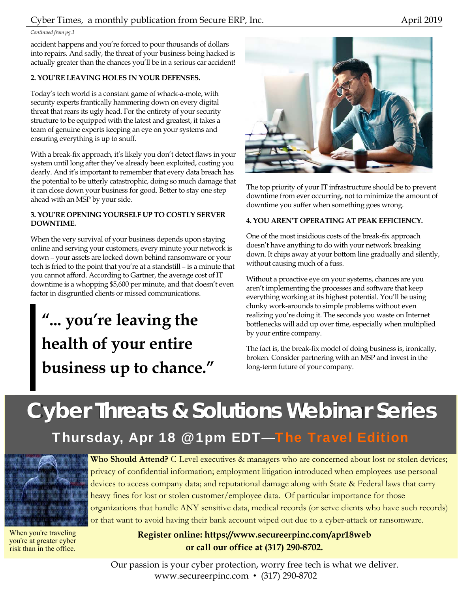#### Cyber Times, a monthly publication from Secure ERP, Inc. April 2019

#### *Continued from pg.1*

accident happens and you're forced to pour thousands of dollars into repairs. And sadly, the threat of your business being hacked is actually greater than the chances you'll be in a serious car accident!

#### **2. YOU'RE LEAVING HOLES IN YOUR DEFENSES.**

Today's tech world is a constant game of whack-a-mole, with security experts frantically hammering down on every digital threat that rears its ugly head. For the entirety of your security structure to be equipped with the latest and greatest, it takes a team of genuine experts keeping an eye on your systems and ensuring everything is up to snuff.

With a break-fix approach, it's likely you don't detect flaws in your system until long after they've already been exploited, costing you dearly. And it's important to remember that every data breach has the potential to be utterly catastrophic, doing so much damage that it can close down your business for good. Better to stay one step ahead with an MSP by your side.

#### **3. YOU'RE OPENING YOURSELF UP TO COSTLY SERVER DOWNTIME.**

When the very survival of your business depends upon staying online and serving your customers, every minute your network is down – your assets are locked down behind ransomware or your tech is fried to the point that you're at a standstill – is a minute that you cannot afford. According to Gartner, the average cost of IT downtime is a whopping \$5,600 per minute, and that doesn't even factor in disgruntled clients or missed communications.

### **"... you're leaving the health of your entire business up to chance."**



The top priority of your IT infrastructure should be to prevent downtime from ever occurring, not to minimize the amount of downtime you suffer when something goes wrong.

#### **4. YOU AREN'T OPERATING AT PEAK EFFICIENCY.**

One of the most insidious costs of the break-fix approach doesn't have anything to do with your network breaking down. It chips away at your bottom line gradually and silently, without causing much of a fuss.

Without a proactive eye on your systems, chances are you aren't implementing the processes and software that keep everything working at its highest potential. You'll be using clunky work-arounds to simple problems without even realizing you're doing it. The seconds you waste on Internet bottlenecks will add up over time, especially when multiplied by your entire company.

The fact is, the break-fix model of doing business is, ironically, broken. Consider partnering with an MSP and invest in the long-term future of your company.

## **Cyber Threats & Solutions Webinar Series**

Thursday, Apr 18 @ 1pm EDT—The Travel Edition



When you're traveling you're at greater cyber risk than in the office.

**Who Should Attend?** C-Level executives & managers who are concerned about lost or stolen devices; privacy of confidential information; employment litigation introduced when employees use personal devices to access company data; and reputational damage along with State & Federal laws that carry heavy fines for lost or stolen customer/employee data. Of particular importance for those organizations that handle ANY sensitive data, medical records (or serve clients who have such records) or that want to avoid having their bank account wiped out due to a cyber-attack or ransomware.

> **Register online: https://www.secureerpinc.com/apr18web or call our office at (317) 290-8702.**

Our passion is your cyber protection, worry free tech is what we deliver. www.secureerpinc.com • (317) 290-8702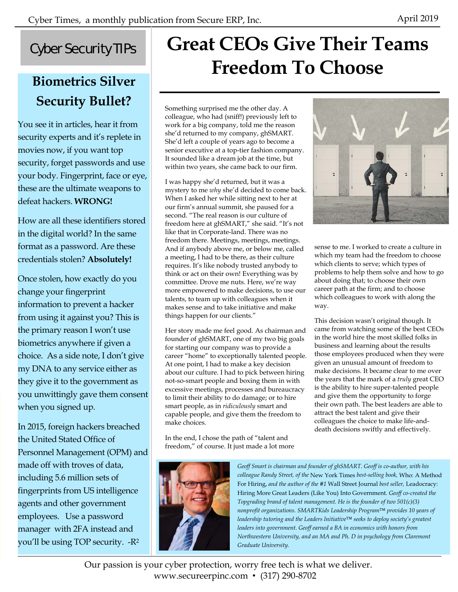### Cyber Security TIPs

### **Biometrics Silver Security Bullet?**

You see it in articles, hear it from security experts and it's replete in movies now, if you want top security, forget passwords and use your body. Fingerprint, face or eye, these are the ultimate weapons to defeat hackers. **WRONG!** 

How are all these identifiers stored in the digital world? In the same format as a password. Are these credentials stolen? **Absolutely!**

Once stolen, how exactly do you change your fingerprint information to prevent a hacker from using it against you? This is the primary reason I won't use biometrics anywhere if given a choice. As a side note, I don't give my DNA to any service either as they give it to the government as you unwittingly gave them consent when you signed up.

In 2015, foreign hackers breached the United Stated Office of Personnel Management (OPM) and made off with troves of data, including 5.6 million sets of fingerprints from US intelligence agents and other government employees. Use a password manager with 2FA instead and you'll be using TOP security. -R2

### **Great CEOs Give Their Teams Freedom To Choose**

Something surprised me the other day. A colleague, who had (sniff!) previously left to work for a big company, told me the reason she'd returned to my company, ghSMART. She'd left a couple of years ago to become a senior executive at a top-tier fashion company. It sounded like a dream job at the time, but within two years, she came back to our firm.

I was happy she'd returned, but it was a mystery to me *why* she'd decided to come back. When I asked her while sitting next to her at our firm's annual summit, she paused for a second. "The real reason is our culture of freedom here at ghSMART," she said. "It's not like that in Corporate-land. There was no freedom there. Meetings, meetings, meetings. And if anybody above me, or below me, called a meeting, I had to be there, as their culture requires. It's like nobody trusted anybody to think or act on their own! Everything was by committee. Drove me nuts. Here, we're way more empowered to make decisions, to use our talents, to team up with colleagues when it makes sense and to take initiative and make things happen for our clients."

Her story made me feel good. As chairman and founder of ghSMART, one of my two big goals for starting our company was to provide a career "home" to exceptionally talented people. At one point, I had to make a key decision about our culture. I had to pick between hiring not-so-smart people and boxing them in with excessive meetings, processes and bureaucracy to limit their ability to do damage; or to hire smart people, as in *ridiculously* smart and capable people, and give them the freedom to make choices.

In the end, I chose the path of "talent and freedom," of course. It just made a lot more





sense to me. I worked to create a culture in which my team had the freedom to choose which clients to serve; which types of problems to help them solve and how to go about doing that; to choose their own career path at the firm; and to choose which colleagues to work with along the way.

This decision wasn't original though. It came from watching some of the best CEOs in the world hire the most skilled folks in business and learning about the results those employees produced when they were given an unusual amount of freedom to make decisions. It became clear to me over the years that the mark of a *truly* great CEO is the ability to hire super-talented people and give them the opportunity to forge their own path. The best leaders are able to attract the best talent and give their colleagues the choice to make life-anddeath decisions swiftly and effectively.

*Geoff Smart is chairman and founder of ghSMART. Geoff is co-author, with his colleague Randy Street, of the* New York Times *best-selling book,* Who: A Method For Hiring, *and the author of the #1* Wall Street Journal *best seller,* Leadocracy: Hiring More Great Leaders (Like You) Into Government*. Geoff co-created the Topgrading brand of talent management. He is the founder of two 501(c)(3) nonprofit organizations. SMARTKids Leadership Program™ provides 10 years of leadership tutoring and the Leaders Initiative™ seeks to deploy society's greatest leaders into government. Geoff earned a BA in economics with honors from Northwestern University, and an MA and Ph. D in psychology from Claremont Graduate University.* 

Our passion is your cyber protection, worry free tech is what we deliver. www.secureerpinc.com • (317) 290-8702